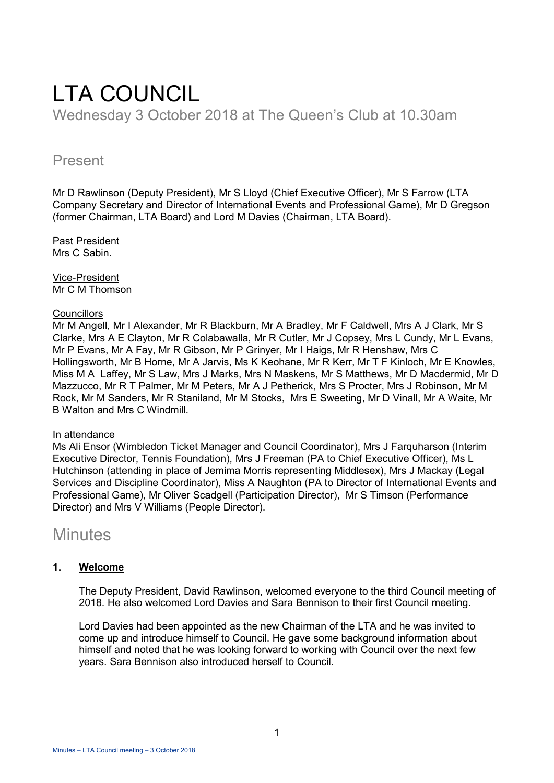# LTA COUNCIL

Wednesday 3 October 2018 at The Queen's Club at 10.30am

## Present

Mr D Rawlinson (Deputy President), Mr S Lloyd (Chief Executive Officer), Mr S Farrow (LTA Company Secretary and Director of International Events and Professional Game), Mr D Gregson (former Chairman, LTA Board) and Lord M Davies (Chairman, LTA Board).

Past President Mrs C Sabin

Vice-President Mr C M Thomson

#### **Councillors**

Mr M Angell, Mr I Alexander, Mr R Blackburn, Mr A Bradley, Mr F Caldwell, Mrs A J Clark, Mr S Clarke, Mrs A E Clayton, Mr R Colabawalla, Mr R Cutler, Mr J Copsey, Mrs L Cundy, Mr L Evans, Mr P Evans, Mr A Fay, Mr R Gibson, Mr P Grinyer, Mr I Haigs, Mr R Henshaw, Mrs C Hollingsworth, Mr B Horne, Mr A Jarvis, Ms K Keohane, Mr R Kerr, Mr T F Kinloch, Mr E Knowles, Miss M A Laffey, Mr S Law, Mrs J Marks, Mrs N Maskens, Mr S Matthews, Mr D Macdermid, Mr D Mazzucco, Mr R T Palmer, Mr M Peters, Mr A J Petherick, Mrs S Procter, Mrs J Robinson, Mr M Rock, Mr M Sanders, Mr R Staniland, Mr M Stocks, Mrs E Sweeting, Mr D Vinall, Mr A Waite, Mr B Walton and Mrs C Windmill.

#### In attendance

Ms Ali Ensor (Wimbledon Ticket Manager and Council Coordinator), Mrs J Farquharson (Interim Executive Director, Tennis Foundation), Mrs J Freeman (PA to Chief Executive Officer), Ms L Hutchinson (attending in place of Jemima Morris representing Middlesex), Mrs J Mackay (Legal Services and Discipline Coordinator), Miss A Naughton (PA to Director of International Events and Professional Game), Mr Oliver Scadgell (Participation Director), Mr S Timson (Performance Director) and Mrs V Williams (People Director).

# **Minutes**

## **1. Welcome**

The Deputy President, David Rawlinson, welcomed everyone to the third Council meeting of 2018. He also welcomed Lord Davies and Sara Bennison to their first Council meeting.

Lord Davies had been appointed as the new Chairman of the LTA and he was invited to come up and introduce himself to Council. He gave some background information about himself and noted that he was looking forward to working with Council over the next few years. Sara Bennison also introduced herself to Council.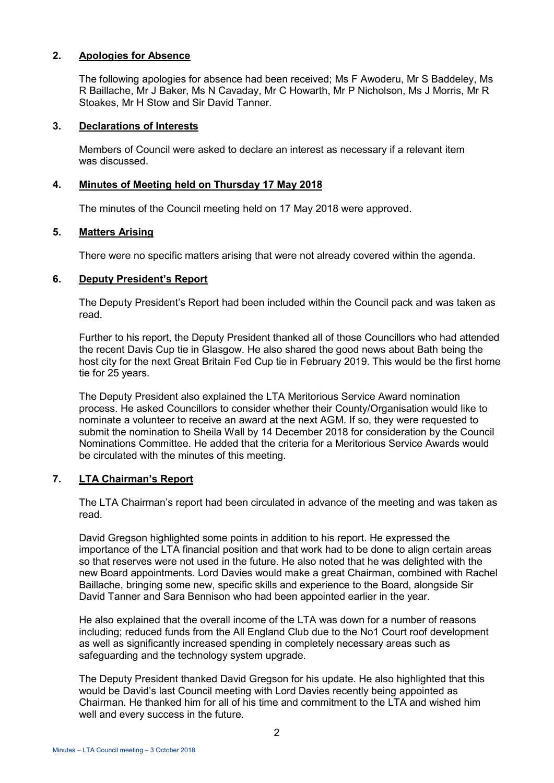### **2. Apologies for Absence**

The following apologies for absence had been received; Ms F Awoderu, Mr S Baddeley, Ms R Baillache, Mr J Baker, Ms N Cavaday, Mr C Howarth, Mr P Nicholson, Ms J Morris, Mr R Stoakes, Mr H Stow and Sir David Tanner.

#### **3. Declarations of Interests**

Members of Council were asked to declare an interest as necessary if a relevant item was discussed.

#### **4. Minutes of Meeting held on Thursday 17 May 2018**

The minutes of the Council meeting held on 17 May 2018 were approved.

#### **5. Matters Arising**

There were no specific matters arising that were not already covered within the agenda.

#### **6. Deputy President's Report**

The Deputy President's Report had been included within the Council pack and was taken as read.

Further to his report, the Deputy President thanked all of those Councillors who had attended the recent Davis Cup tie in Glasgow. He also shared the good news about Bath being the host city for the next Great Britain Fed Cup tie in February 2019. This would be the first home tie for 25 years.

The Deputy President also explained the LTA Meritorious Service Award nomination process. He asked Councillors to consider whether their County/Organisation would like to nominate a volunteer to receive an award at the next AGM. If so, they were requested to submit the nomination to Sheila Wall by 14 December 2018 for consideration by the Council Nominations Committee. He added that the criteria for a Meritorious Service Awards would be circulated with the minutes of this meeting.

#### **7. LTA Chairman's Report**

The LTA Chairman's report had been circulated in advance of the meeting and was taken as read.

David Gregson highlighted some points in addition to his report. He expressed the importance of the LTA financial position and that work had to be done to align certain areas so that reserves were not used in the future. He also noted that he was delighted with the new Board appointments. Lord Davies would make a great Chairman, combined with Rachel Baillache, bringing some new, specific skills and experience to the Board, alongside Sir David Tanner and Sara Bennison who had been appointed earlier in the year.

He also explained that the overall income of the LTA was down for a number of reasons including; reduced funds from the All England Club due to the No1 Court roof development as well as significantly increased spending in completely necessary areas such as safeguarding and the technology system upgrade.

The Deputy President thanked David Gregson for his update. He also highlighted that this would be David's last Council meeting with Lord Davies recently being appointed as Chairman. He thanked him for all of his time and commitment to the LTA and wished him well and every success in the future.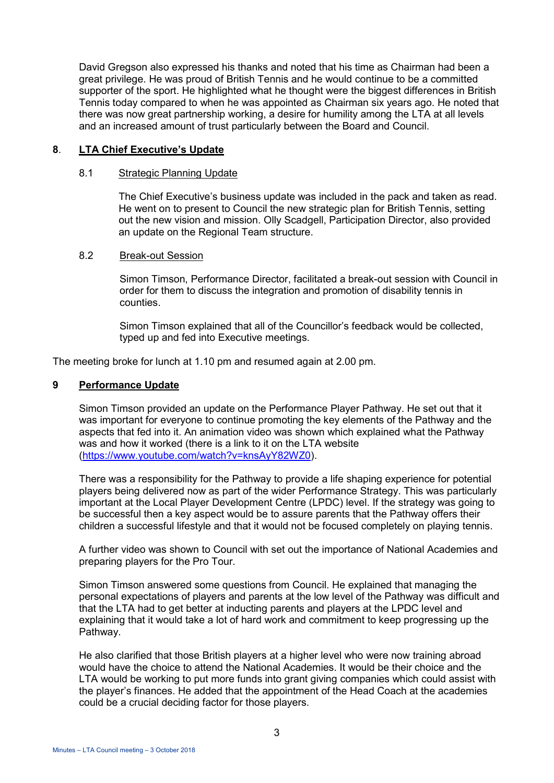David Gregson also expressed his thanks and noted that his time as Chairman had been a great privilege. He was proud of British Tennis and he would continue to be a committed supporter of the sport. He highlighted what he thought were the biggest differences in British Tennis today compared to when he was appointed as Chairman six years ago. He noted that there was now great partnership working, a desire for humility among the LTA at all levels and an increased amount of trust particularly between the Board and Council.

#### **8**. **LTA Chief Executive's Update**

#### 8.1 Strategic Planning Update

The Chief Executive's business update was included in the pack and taken as read. He went on to present to Council the new strategic plan for British Tennis, setting out the new vision and mission. Olly Scadgell, Participation Director, also provided an update on the Regional Team structure.

#### 8.2 Break-out Session

Simon Timson, Performance Director, facilitated a break-out session with Council in order for them to discuss the integration and promotion of disability tennis in counties.

Simon Timson explained that all of the Councillor's feedback would be collected, typed up and fed into Executive meetings.

The meeting broke for lunch at 1.10 pm and resumed again at 2.00 pm.

#### **9 Performance Update**

Simon Timson provided an update on the Performance Player Pathway. He set out that it was important for everyone to continue promoting the key elements of the Pathway and the aspects that fed into it. An animation video was shown which explained what the Pathway was and how it worked (there is a link to it on the LTA website [\(https://www.youtube.com/watch?v=knsAyY82WZ0\)](https://www.youtube.com/watch?v=knsAyY82WZ0).

There was a responsibility for the Pathway to provide a life shaping experience for potential players being delivered now as part of the wider Performance Strategy. This was particularly important at the Local Player Development Centre (LPDC) level. If the strategy was going to be successful then a key aspect would be to assure parents that the Pathway offers their children a successful lifestyle and that it would not be focused completely on playing tennis.

A further video was shown to Council with set out the importance of National Academies and preparing players for the Pro Tour.

Simon Timson answered some questions from Council. He explained that managing the personal expectations of players and parents at the low level of the Pathway was difficult and that the LTA had to get better at inducting parents and players at the LPDC level and explaining that it would take a lot of hard work and commitment to keep progressing up the Pathway.

He also clarified that those British players at a higher level who were now training abroad would have the choice to attend the National Academies. It would be their choice and the LTA would be working to put more funds into grant giving companies which could assist with the player's finances. He added that the appointment of the Head Coach at the academies could be a crucial deciding factor for those players.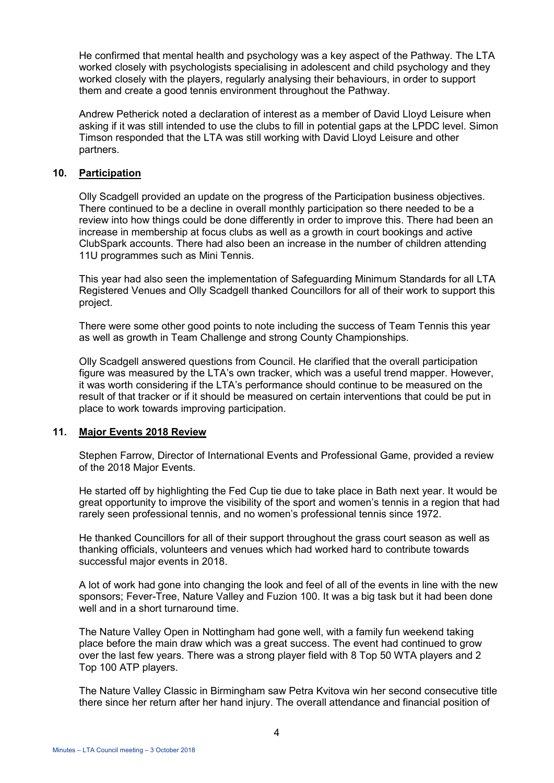He confirmed that mental health and psychology was a key aspect of the Pathway. The LTA worked closely with psychologists specialising in adolescent and child psychology and they worked closely with the players, regularly analysing their behaviours, in order to support them and create a good tennis environment throughout the Pathway.

Andrew Petherick noted a declaration of interest as a member of David Lloyd Leisure when asking if it was still intended to use the clubs to fill in potential gaps at the LPDC level. Simon Timson responded that the LTA was still working with David Lloyd Leisure and other partners.

#### **10. Participation**

Olly Scadgell provided an update on the progress of the Participation business objectives. There continued to be a decline in overall monthly participation so there needed to be a review into how things could be done differently in order to improve this. There had been an increase in membership at focus clubs as well as a growth in court bookings and active ClubSpark accounts. There had also been an increase in the number of children attending 11U programmes such as Mini Tennis.

This year had also seen the implementation of Safeguarding Minimum Standards for all LTA Registered Venues and Olly Scadgell thanked Councillors for all of their work to support this project.

There were some other good points to note including the success of Team Tennis this year as well as growth in Team Challenge and strong County Championships.

Olly Scadgell answered questions from Council. He clarified that the overall participation figure was measured by the LTA's own tracker, which was a useful trend mapper. However, it was worth considering if the LTA's performance should continue to be measured on the result of that tracker or if it should be measured on certain interventions that could be put in place to work towards improving participation.

#### **11. Major Events 2018 Review**

Stephen Farrow, Director of International Events and Professional Game, provided a review of the 2018 Major Events.

He started off by highlighting the Fed Cup tie due to take place in Bath next year. It would be great opportunity to improve the visibility of the sport and women's tennis in a region that had rarely seen professional tennis, and no women's professional tennis since 1972.

He thanked Councillors for all of their support throughout the grass court season as well as thanking officials, volunteers and venues which had worked hard to contribute towards successful major events in 2018.

A lot of work had gone into changing the look and feel of all of the events in line with the new sponsors; Fever-Tree, Nature Valley and Fuzion 100. It was a big task but it had been done well and in a short turnaround time.

The Nature Valley Open in Nottingham had gone well, with a family fun weekend taking place before the main draw which was a great success. The event had continued to grow over the last few years. There was a strong player field with 8 Top 50 WTA players and 2 Top 100 ATP players.

The Nature Valley Classic in Birmingham saw Petra Kvitova win her second consecutive title there since her return after her hand injury. The overall attendance and financial position of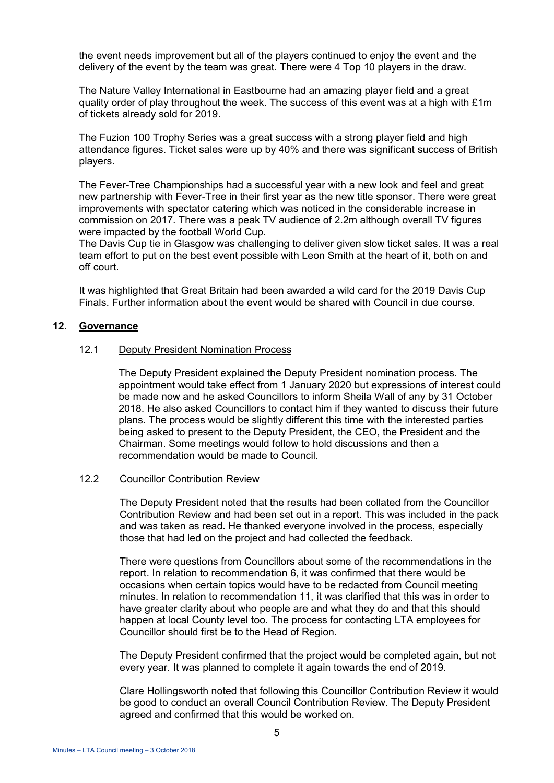the event needs improvement but all of the players continued to enjoy the event and the delivery of the event by the team was great. There were 4 Top 10 players in the draw.

The Nature Valley International in Eastbourne had an amazing player field and a great quality order of play throughout the week. The success of this event was at a high with  $£1m$ of tickets already sold for 2019.

The Fuzion 100 Trophy Series was a great success with a strong player field and high attendance figures. Ticket sales were up by 40% and there was significant success of British players.

The Fever-Tree Championships had a successful year with a new look and feel and great new partnership with Fever-Tree in their first year as the new title sponsor. There were great improvements with spectator catering which was noticed in the considerable increase in commission on 2017. There was a peak TV audience of 2.2m although overall TV figures were impacted by the football World Cup.

The Davis Cup tie in Glasgow was challenging to deliver given slow ticket sales. It was a real team effort to put on the best event possible with Leon Smith at the heart of it, both on and off court.

It was highlighted that Great Britain had been awarded a wild card for the 2019 Davis Cup Finals. Further information about the event would be shared with Council in due course.

#### **12**. **Governance**

#### 12.1 Deputy President Nomination Process

The Deputy President explained the Deputy President nomination process. The appointment would take effect from 1 January 2020 but expressions of interest could be made now and he asked Councillors to inform Sheila Wall of any by 31 October 2018. He also asked Councillors to contact him if they wanted to discuss their future plans. The process would be slightly different this time with the interested parties being asked to present to the Deputy President, the CEO, the President and the Chairman. Some meetings would follow to hold discussions and then a recommendation would be made to Council.

#### 12.2 Councillor Contribution Review

The Deputy President noted that the results had been collated from the Councillor Contribution Review and had been set out in a report. This was included in the pack and was taken as read. He thanked everyone involved in the process, especially those that had led on the project and had collected the feedback.

There were questions from Councillors about some of the recommendations in the report. In relation to recommendation 6, it was confirmed that there would be occasions when certain topics would have to be redacted from Council meeting minutes. In relation to recommendation 11, it was clarified that this was in order to have greater clarity about who people are and what they do and that this should happen at local County level too. The process for contacting LTA employees for Councillor should first be to the Head of Region.

The Deputy President confirmed that the project would be completed again, but not every year. It was planned to complete it again towards the end of 2019.

Clare Hollingsworth noted that following this Councillor Contribution Review it would be good to conduct an overall Council Contribution Review. The Deputy President agreed and confirmed that this would be worked on.